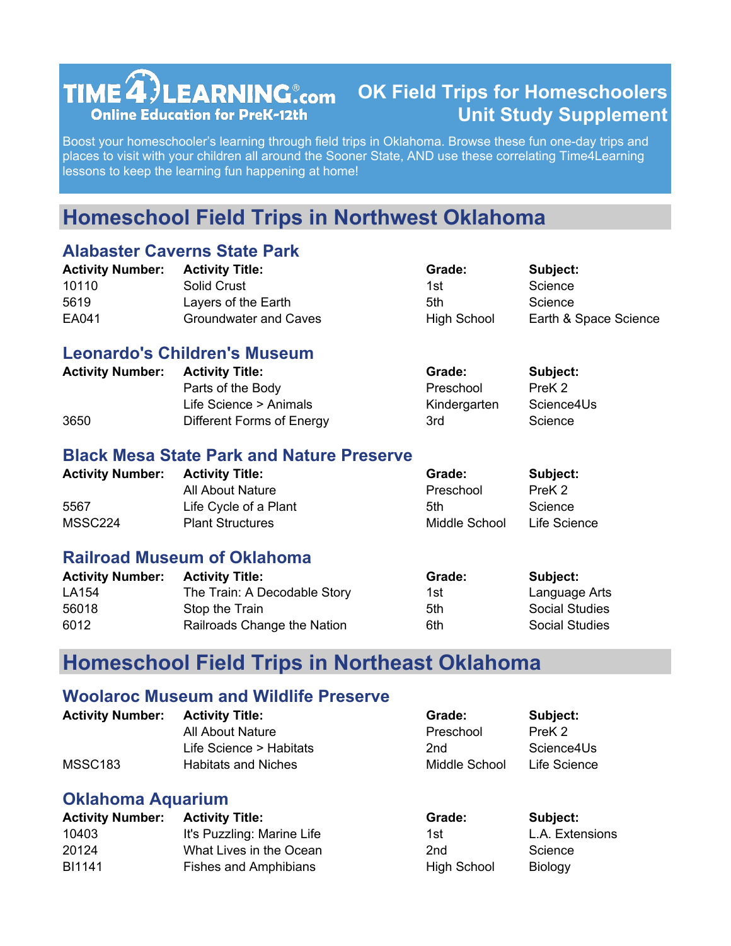# $TIME 4$ )LEARNING $_{\rm com}$ **Online Education for PreK-12th**

## **OK Field Trips for Homeschoolers Unit Study Supplement**

Boost your homeschooler's learning through field trips in Oklahoma. Browse these fun one-day trips and places to visit with your children all around the Sooner State, AND use these correlating Time4Learning lessons to keep the learning fun happening at home!

# **Homeschool Field Trips in Northwest Oklahoma**

## **Alabaster Caverns State Park**

| <b>Activity Number:</b> | <b>Activity Title:</b>       | Grade:             | Subject:              |
|-------------------------|------------------------------|--------------------|-----------------------|
| 10110                   | <b>Solid Crust</b>           | 1st                | Science               |
| 5619                    | Layers of the Earth          | 5th                | Science               |
| EA041                   | <b>Groundwater and Caves</b> | <b>High School</b> | Earth & Space Science |
|                         |                              |                    |                       |

#### **Leonardo's Children's Museum**

| <b>Activity Number:</b> | <b>Activity Title:</b>    | Grade:       | Subject:   |
|-------------------------|---------------------------|--------------|------------|
|                         | Parts of the Body         | Preschool    | PreK 2     |
|                         | Life Science > Animals    | Kindergarten | Science4Us |
| 3650                    | Different Forms of Energy | 3rd          | Science    |

#### **Black Mesa State Park and Nature Preserve**

| <b>Activity Number:</b> | <b>Activity Title:</b>  | Grade:        | Subject:     |
|-------------------------|-------------------------|---------------|--------------|
|                         | All About Nature        | Preschool     | PreK 2       |
| 5567                    | Life Cycle of a Plant   | 5th           | Science      |
| MSSC224                 | <b>Plant Structures</b> | Middle School | Life Science |

## **Railroad Museum of Oklahoma**

| <b>Activity Number:</b> | <b>Activity Title:</b>       | Grade: | Subject:              |
|-------------------------|------------------------------|--------|-----------------------|
| LA154                   | The Train: A Decodable Story | 1st    | Language Arts         |
| 56018                   | Stop the Train               | 5th    | <b>Social Studies</b> |
| 6012                    | Railroads Change the Nation  | 6th    | <b>Social Studies</b> |

## **Homeschool Field Trips in Northeast Oklahoma**

#### **Woolaroc Museum and Wildlife Preserve**

| <b>Activity Number:</b> | <b>Activity Title:</b>  | Grade:        | Subject:     |
|-------------------------|-------------------------|---------------|--------------|
|                         | All About Nature        | Preschool     | PreK 2       |
|                         | Life Science > Habitats | 2nd           | Science4Us   |
| MSSC <sub>183</sub>     | Habitats and Niches     | Middle School | Life Science |

## **Oklahoma Aquarium**

| <b>Activity Number: Activity Title:</b> |                              | Grade:      | Subject:        |
|-----------------------------------------|------------------------------|-------------|-----------------|
| 10403                                   | It's Puzzling: Marine Life   | 1st         | L.A. Extensions |
| 20124                                   | What Lives in the Ocean      | 2nd         | Science         |
| BI1141                                  | <b>Fishes and Amphibians</b> | High School | <b>Biology</b>  |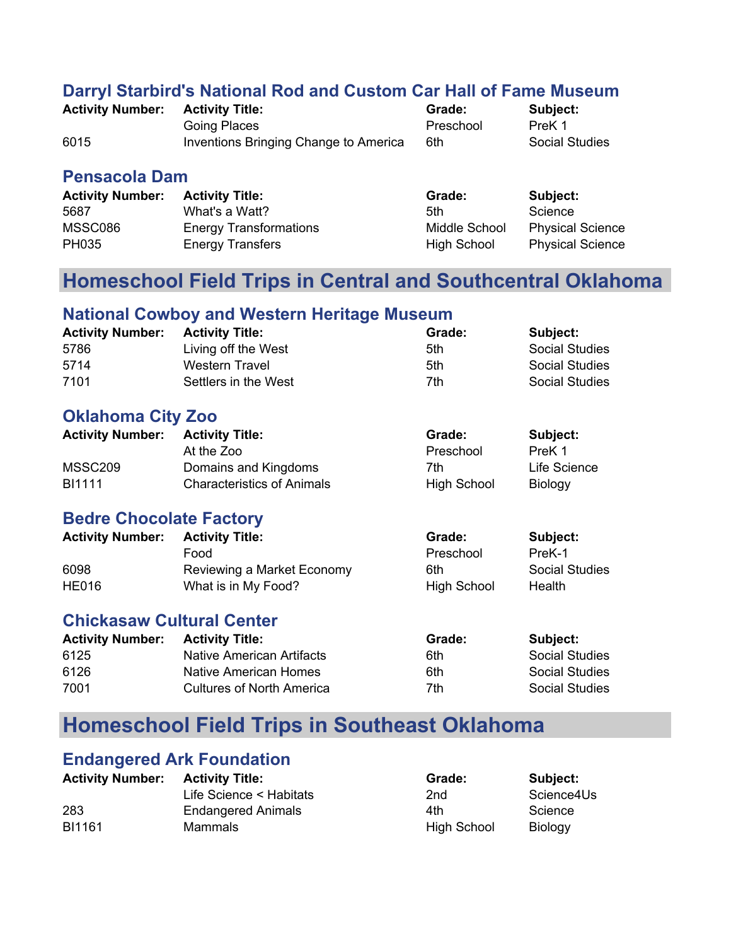### **Darryl Starbird's National Rod and Custom Car Hall of Fame Museum**

| <b>Activity Number:</b> | <b>Activity Title:</b>                | Grade:    | Subject:       |
|-------------------------|---------------------------------------|-----------|----------------|
|                         | Going Places                          | Preschool | PreK 1         |
| 6015                    | Inventions Bringing Change to America | 6th       | Social Studies |

#### **Pensacola Dam**

| <b>Activity Number:</b> | <b>Activity Title:</b>        | Grade:             | Subject:                |
|-------------------------|-------------------------------|--------------------|-------------------------|
| 5687                    | What's a Watt?                | 5th                | Science                 |
| MSSC086                 | <b>Energy Transformations</b> | Middle School      | <b>Physical Science</b> |
| PH035                   | <b>Energy Transfers</b>       | <b>High School</b> | <b>Physical Science</b> |

## **Homeschool Field Trips in Central and Southcentral Oklahoma**

#### **National Cowboy and Western Heritage Museum**

| <b>Activity Number:</b> | <b>Activity Title:</b> | Grade: | Subject:              |
|-------------------------|------------------------|--------|-----------------------|
| 5786                    | Living off the West    | 5th    | <b>Social Studies</b> |
| 5714                    | Western Travel         | 5th    | <b>Social Studies</b> |
| 7101                    | Settlers in the West   | 7th    | Social Studies        |

## **Oklahoma City Zoo**

| <b>Activity Number:</b> | <b>Activity Title:</b>            | Grade:             | Subject:       |
|-------------------------|-----------------------------------|--------------------|----------------|
|                         | At the Zoo                        | Preschool          | PreK 1         |
| MSSC209                 | Domains and Kingdoms              | 7th.               | Life Science   |
| BI1111                  | <b>Characteristics of Animals</b> | <b>High School</b> | <b>Biology</b> |

## **Bedre Chocolate Factory**

| <b>Activity Number:</b> | <b>Activity Title:</b>     | Grade:      | Subject:              |
|-------------------------|----------------------------|-------------|-----------------------|
|                         | Food                       | Preschool   | PreK-1                |
| 6098                    | Reviewing a Market Economy | 6th         | <b>Social Studies</b> |
| <b>HE016</b>            | What is in My Food?        | High School | Health                |

## **Chickasaw Cultural Center**

| <b>Activity Number:</b> | <b>Activity Title:</b>           | Grade: | Subject:       |
|-------------------------|----------------------------------|--------|----------------|
| 6125                    | <b>Native American Artifacts</b> | 6th    | Social Studies |
| 6126                    | Native American Homes            | 6th    | Social Studies |
| 7001                    | <b>Cultures of North America</b> | 7th    | Social Studies |

## **Homeschool Field Trips in Southeast Oklahoma**

## **Endangered Ark Foundation**

| <b>Activity Number:</b> | <b>Activity Title:</b>    | Grade:             | Subject:       |
|-------------------------|---------------------------|--------------------|----------------|
|                         | Life Science < Habitats   | 2nd                | Science4Us     |
| 283                     | <b>Endangered Animals</b> | 4th                | Science        |
| BI1161                  | Mammals                   | <b>High School</b> | <b>Biology</b> |